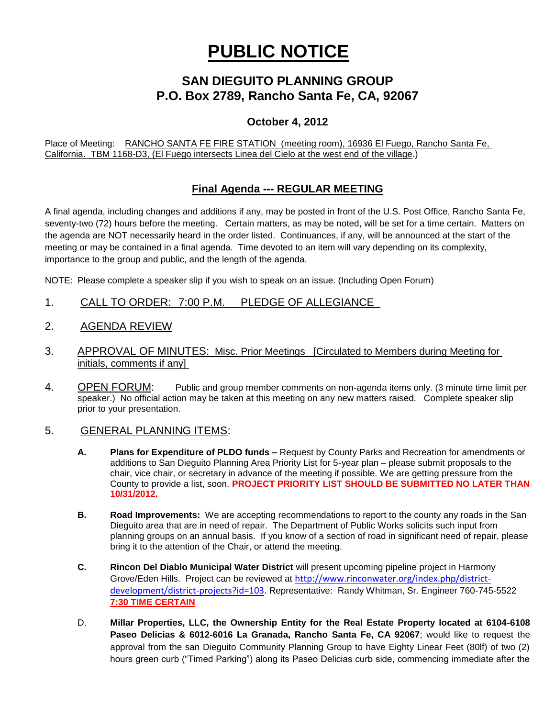# **PUBLIC NOTICE**

# **SAN DIEGUITO PLANNING GROUP P.O. Box 2789, Rancho Santa Fe, CA, 92067**

### **October 4, 2012**

Place of Meeting: RANCHO SANTA FE FIRE STATION (meeting room), 16936 El Fuego, Rancho Santa Fe, California. TBM 1168-D3, (El Fuego intersects Linea del Cielo at the west end of the village.)

## **Final Agenda --- REGULAR MEETING**

A final agenda, including changes and additions if any, may be posted in front of the U.S. Post Office, Rancho Santa Fe, seventy-two (72) hours before the meeting. Certain matters, as may be noted, will be set for a time certain. Matters on the agenda are NOT necessarily heard in the order listed. Continuances, if any, will be announced at the start of the meeting or may be contained in a final agenda. Time devoted to an item will vary depending on its complexity, importance to the group and public, and the length of the agenda.

NOTE: Please complete a speaker slip if you wish to speak on an issue. (Including Open Forum)

- 1. CALL TO ORDER: 7:00 P.M. PLEDGE OF ALLEGIANCE
- 2. AGENDA REVIEW
- 3. APPROVAL OF MINUTES: Misc. Prior Meetings [Circulated to Members during Meeting for initials, comments if any]
- 4. OPEN FORUM: Public and group member comments on non-agenda items only. (3 minute time limit per speaker.) No official action may be taken at this meeting on any new matters raised. Complete speaker slip prior to your presentation.

#### 5. GENERAL PLANNING ITEMS:

- **A. Plans for Expenditure of PLDO funds –** Request by County Parks and Recreation for amendments or additions to San Dieguito Planning Area Priority List for 5-year plan – please submit proposals to the chair, vice chair, or secretary in advance of the meeting if possible. We are getting pressure from the County to provide a list, soon. **PROJECT PRIORITY LIST SHOULD BE SUBMITTED NO LATER THAN 10/31/2012.**
- **B. Road Improvements:** We are accepting recommendations to report to the county any roads in the San Dieguito area that are in need of repair. The Department of Public Works solicits such input from planning groups on an annual basis. If you know of a section of road in significant need of repair, please bring it to the attention of the Chair, or attend the meeting.
- **C. Rincon Del Diablo Municipal Water District** will present upcoming pipeline project in Harmony Grove/Eden Hills. Project can be reviewed at [http://www.rinconwater.org/index.php/district](http://www.rinconwater.org/index.php/district-development/district-projects?id=103)[development/district-projects?id=103.](http://www.rinconwater.org/index.php/district-development/district-projects?id=103) Representative: Randy Whitman, Sr. Engineer 760-745-5522 **7:30 TIME CERTAIN**
- D. **Millar Properties, LLC, the Ownership Entity for the Real Estate Property located at 6104-6108 Paseo Delicias & 6012-6016 La Granada, Rancho Santa Fe, CA 92067**; would like to request the approval from the san Dieguito Community Planning Group to have Eighty Linear Feet (80lf) of two (2) hours green curb ("Timed Parking") along its Paseo Delicias curb side, commencing immediate after the